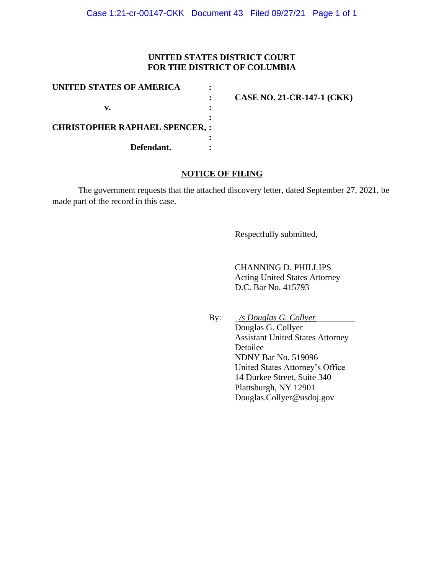## **UNITED STATES DISTRICT COURT FOR THE DISTRICT OF COLUMBIA**

| UNITED STATES OF AMERICA             |                                   |
|--------------------------------------|-----------------------------------|
|                                      | <b>CASE NO. 21-CR-147-1 (CKK)</b> |
| v.                                   |                                   |
|                                      |                                   |
| <b>CHRISTOPHER RAPHAEL SPENCER,:</b> |                                   |
|                                      |                                   |
| Defendant.                           |                                   |

## **NOTICE OF FILING**

The government requests that the attached discovery letter, dated September 27, 2021, be made part of the record in this case.

Respectfully submitted,

CHANNING D. PHILLIPS Acting United States Attorney D.C. Bar No. 415793

By: \_*/s Douglas G. Collyer*\_\_\_\_\_\_\_\_\_

Douglas G. Collyer Assistant United States Attorney Detailee NDNY Bar No. 519096 United States Attorney's Office 14 Durkee Street, Suite 340 Plattsburgh, NY 12901 Douglas.Collyer@usdoj.gov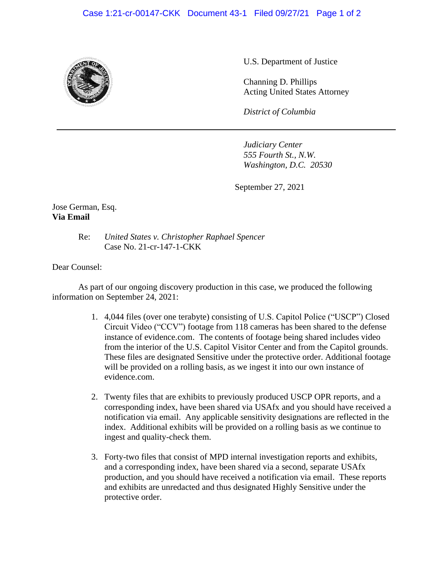## Case 1:21-cr-00147-CKK Document 43-1 Filed 09/27/21 Page 1 of 2



U.S. Department of Justice

Channing D. Phillips Acting United States Attorney

*District of Columbia*

*Judiciary Center 555 Fourth St., N.W. Washington, D.C. 20530*

September 27, 2021

Jose German, Esq. **Via Email**

> Re: *United States v. Christopher Raphael Spencer* Case No. 21-cr-147-1-CKK

Dear Counsel:

As part of our ongoing discovery production in this case, we produced the following information on September 24, 2021:

- 1. 4,044 files (over one terabyte) consisting of U.S. Capitol Police ("USCP") Closed Circuit Video ("CCV") footage from 118 cameras has been shared to the defense instance of evidence.com. The contents of footage being shared includes video from the interior of the U.S. Capitol Visitor Center and from the Capitol grounds. These files are designated Sensitive under the protective order. Additional footage will be provided on a rolling basis, as we ingest it into our own instance of evidence.com.
- 2. Twenty files that are exhibits to previously produced USCP OPR reports, and a corresponding index, have been shared via USAfx and you should have received a notification via email. Any applicable sensitivity designations are reflected in the index. Additional exhibits will be provided on a rolling basis as we continue to ingest and quality-check them.
- 3. Forty-two files that consist of MPD internal investigation reports and exhibits, and a corresponding index, have been shared via a second, separate USAfx production, and you should have received a notification via email. These reports and exhibits are unredacted and thus designated Highly Sensitive under the protective order.